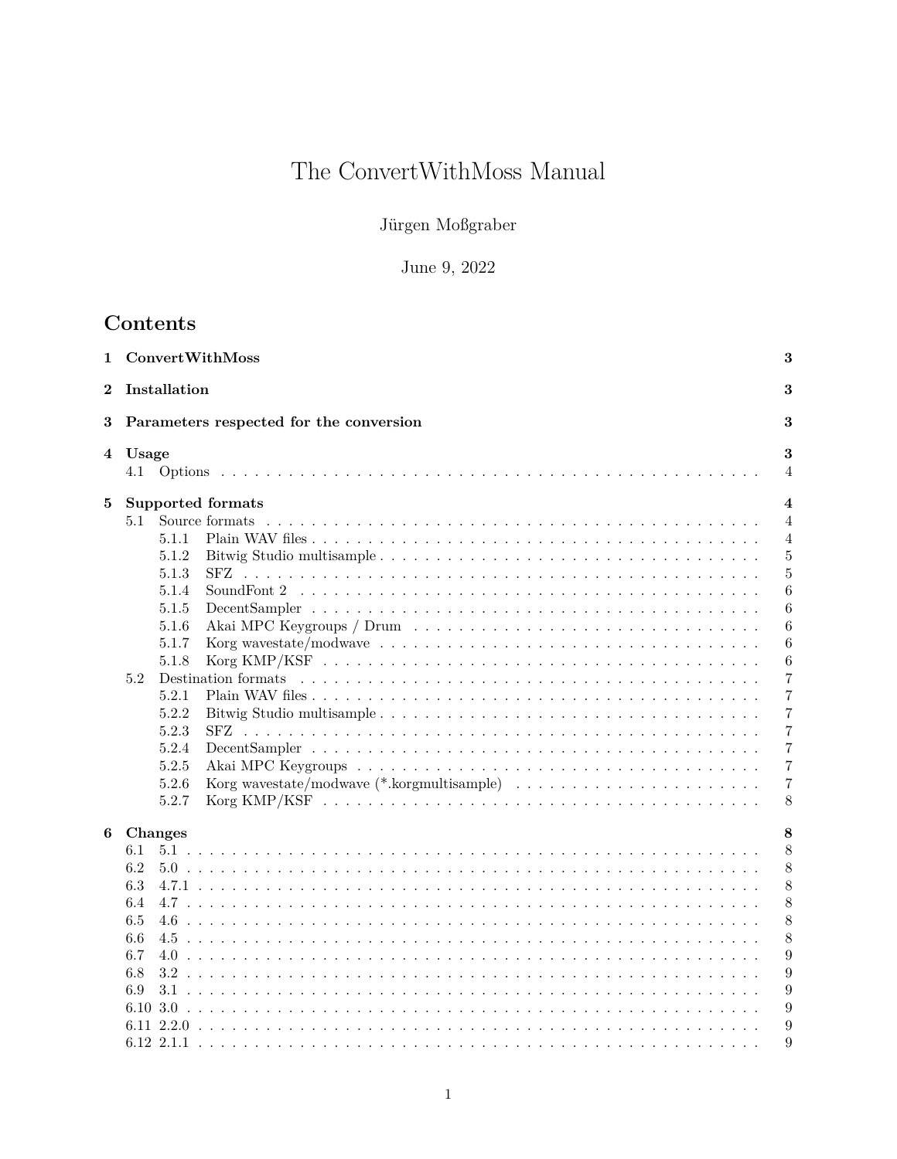# The ConvertWithMoss Manual  $\,$

Jürgen Moßgraber

# June 9, 2022  $\,$

# Contents

| 1        | ConvertWithMoss                                                                                                                                               |                                                                                                                                | 3                                                                                                                                                                            |
|----------|---------------------------------------------------------------------------------------------------------------------------------------------------------------|--------------------------------------------------------------------------------------------------------------------------------|------------------------------------------------------------------------------------------------------------------------------------------------------------------------------|
| $\bf{2}$ | Installation                                                                                                                                                  |                                                                                                                                | 3                                                                                                                                                                            |
| 3        |                                                                                                                                                               | Parameters respected for the conversion                                                                                        | 3                                                                                                                                                                            |
|          | 4 Usage                                                                                                                                                       |                                                                                                                                | 3<br>4                                                                                                                                                                       |
| 5        | Supported formats<br>5.1<br>5.1.1<br>5.1.2<br>5.1.3<br>5.1.4<br>5.1.5<br>5.1.6<br>5.1.7<br>5.1.8<br>5.2<br>5.2.1<br>5.2.2<br>5.2.3<br>5.2.4<br>5.2.5<br>5.2.6 | Source formats<br>Korg wavestate/modwave $\ldots \ldots \ldots \ldots \ldots \ldots \ldots \ldots \ldots \ldots \ldots \ldots$ | 4<br>$\overline{4}$<br>$\overline{4}$<br>5<br>$\overline{5}$<br>6<br>6<br>6<br>6<br>6<br>7<br>7<br>$\overline{7}$<br>7<br>$\overline{7}$<br>$\overline{7}$<br>$\overline{7}$ |
|          | 5.2.7                                                                                                                                                         |                                                                                                                                | 8                                                                                                                                                                            |
| 6        | <b>Changes</b><br>6.1<br>6.2<br>6.3<br>6.4<br>6.5<br>6.6<br>6.7<br>6.8<br>6.9                                                                                 |                                                                                                                                | 8<br>8<br>8<br>8<br>8<br>8<br>8<br>9<br>9<br>9<br>9<br>9                                                                                                                     |
|          |                                                                                                                                                               |                                                                                                                                | 9                                                                                                                                                                            |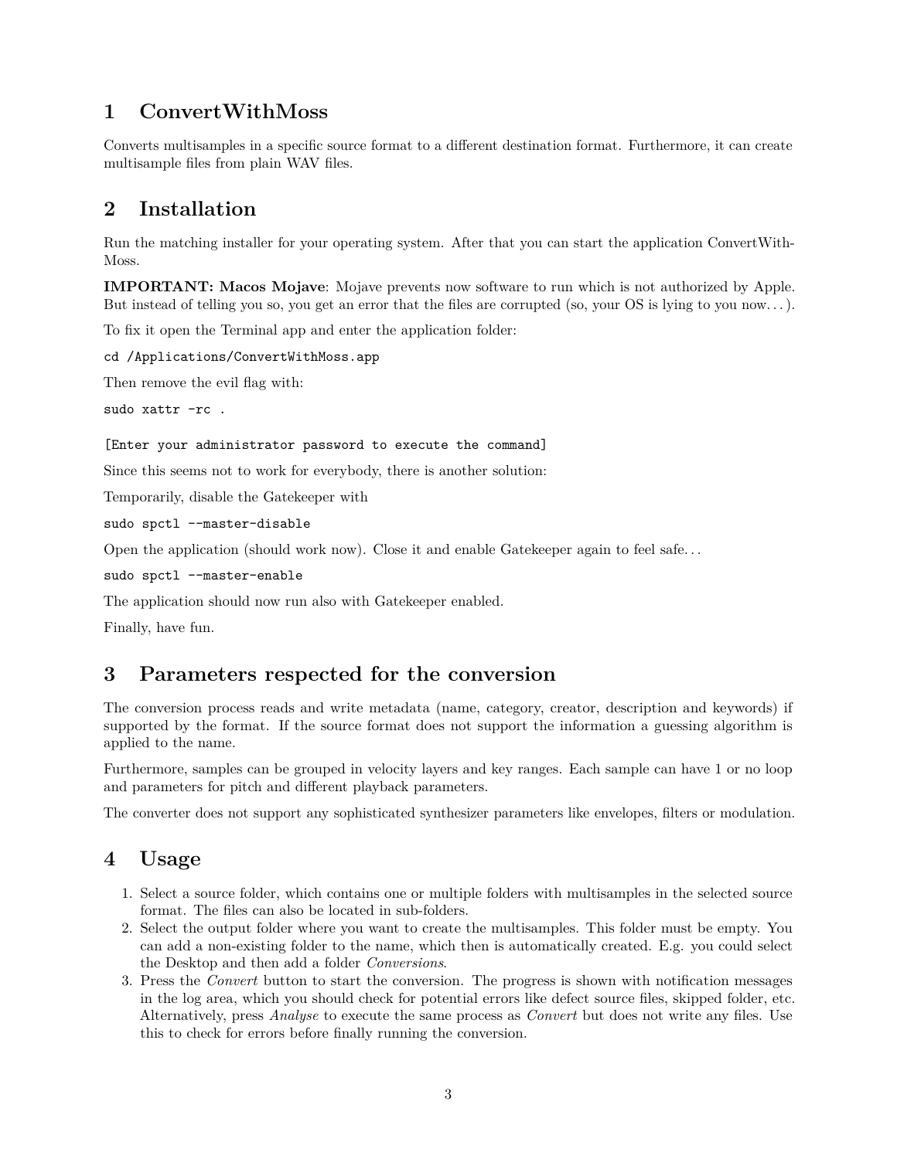# <span id="page-2-0"></span>**1 ConvertWithMoss**

Converts multisamples in a specific source format to a different destination format. Furthermore, it can create multisample files from plain WAV files.

# <span id="page-2-1"></span>**2 Installation**

Run the matching installer for your operating system. After that you can start the application ConvertWith-Moss.

**IMPORTANT: Macos Mojave**: Mojave prevents now software to run which is not authorized by Apple. But instead of telling you so, you get an error that the files are corrupted (so, your OS is lying to you now. . . ).

To fix it open the Terminal app and enter the application folder:

cd /Applications/ConvertWithMoss.app

Then remove the evil flag with:

sudo xattr -rc .

```
[Enter your administrator password to execute the command]
```
Since this seems not to work for everybody, there is another solution:

Temporarily, disable the Gatekeeper with

```
sudo spctl --master-disable
```
Open the application (should work now). Close it and enable Gatekeeper again to feel safe...

sudo spctl --master-enable

The application should now run also with Gatekeeper enabled.

Finally, have fun.

# <span id="page-2-2"></span>**3 Parameters respected for the conversion**

The conversion process reads and write metadata (name, category, creator, description and keywords) if supported by the format. If the source format does not support the information a guessing algorithm is applied to the name.

Furthermore, samples can be grouped in velocity layers and key ranges. Each sample can have 1 or no loop and parameters for pitch and different playback parameters.

The converter does not support any sophisticated synthesizer parameters like envelopes, filters or modulation.

# <span id="page-2-3"></span>**4 Usage**

- 1. Select a source folder, which contains one or multiple folders with multisamples in the selected source format. The files can also be located in sub-folders.
- 2. Select the output folder where you want to create the multisamples. This folder must be empty. You can add a non-existing folder to the name, which then is automatically created. E.g. you could select the Desktop and then add a folder *Conversions*.
- 3. Press the *Convert* button to start the conversion. The progress is shown with notification messages in the log area, which you should check for potential errors like defect source files, skipped folder, etc. Alternatively, press *Analyse* to execute the same process as *Convert* but does not write any files. Use this to check for errors before finally running the conversion.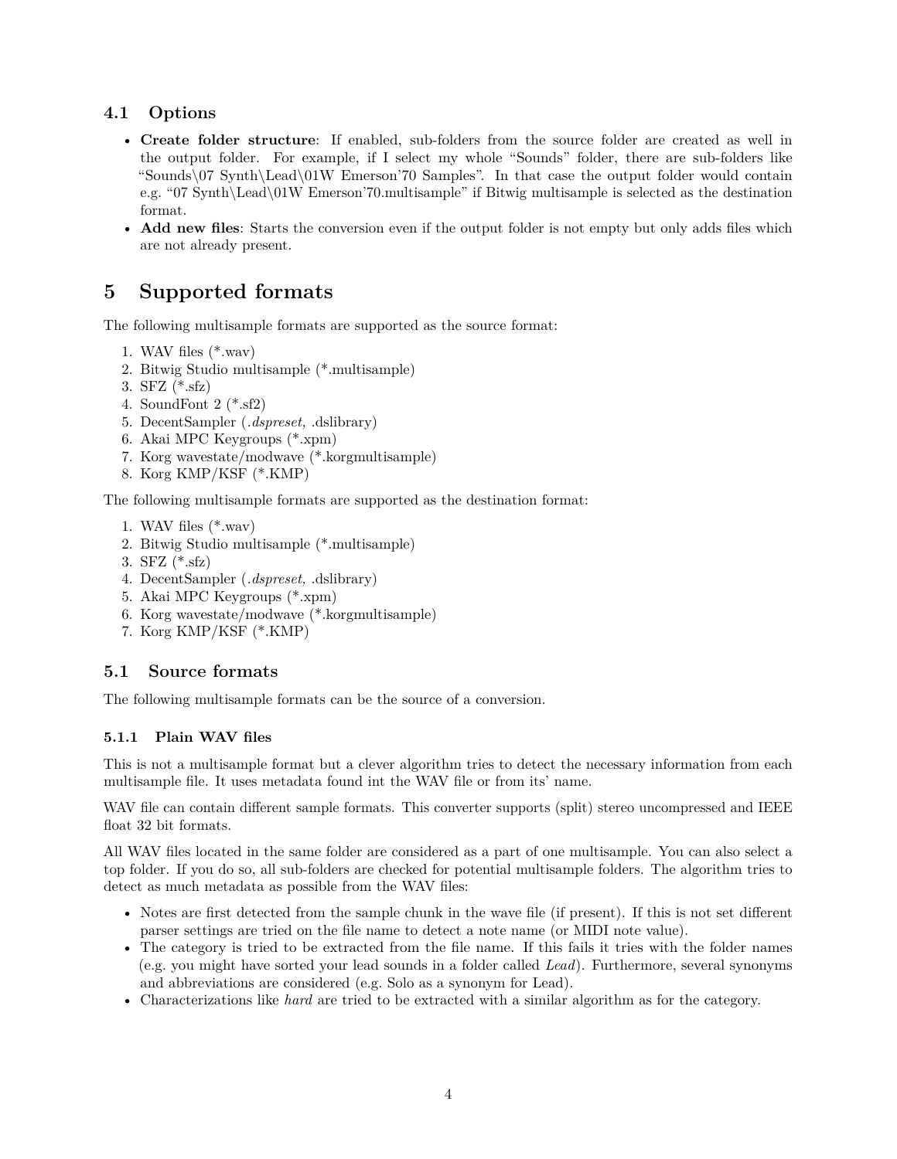# <span id="page-3-0"></span>**4.1 Options**

- **Create folder structure**: If enabled, sub-folders from the source folder are created as well in the output folder. For example, if I select my whole "Sounds" folder, there are sub-folders like "Sounds\07 Synth\Lead\01W Emerson'70 Samples". In that case the output folder would contain e.g. "07 Synth\Lead\01W Emerson'70.multisample" if Bitwig multisample is selected as the destination format.
- **Add new files**: Starts the conversion even if the output folder is not empty but only adds files which are not already present.

# <span id="page-3-1"></span>**5 Supported formats**

The following multisample formats are supported as the source format:

- 1. WAV files (\*.wav)
- 2. Bitwig Studio multisample (\*.multisample)
- 3. SFZ (\*.sfz)
- 4. SoundFont 2 (\*.sf2)
- 5. DecentSampler (*.dspreset,* .dslibrary)
- 6. Akai MPC Keygroups (\*.xpm)
- 7. Korg wavestate/modwave (\*.korgmultisample)
- 8. Korg KMP/KSF (\*.KMP)

The following multisample formats are supported as the destination format:

- 1. WAV files (\*.wav)
- 2. Bitwig Studio multisample (\*.multisample)
- 3. SFZ (\*.sfz)
- 4. DecentSampler (*.dspreset,* .dslibrary)
- 5. Akai MPC Keygroups (\*.xpm)
- 6. Korg wavestate/modwave (\*.korgmultisample)
- 7. Korg KMP/KSF (\*.KMP)

# <span id="page-3-2"></span>**5.1 Source formats**

The following multisample formats can be the source of a conversion.

#### <span id="page-3-3"></span>**5.1.1 Plain WAV files**

This is not a multisample format but a clever algorithm tries to detect the necessary information from each multisample file. It uses metadata found int the WAV file or from its' name.

WAV file can contain different sample formats. This converter supports (split) stereo uncompressed and IEEE float 32 bit formats.

All WAV files located in the same folder are considered as a part of one multisample. You can also select a top folder. If you do so, all sub-folders are checked for potential multisample folders. The algorithm tries to detect as much metadata as possible from the WAV files:

- Notes are first detected from the sample chunk in the wave file (if present). If this is not set different parser settings are tried on the file name to detect a note name (or MIDI note value).
- The category is tried to be extracted from the file name. If this fails it tries with the folder names (e.g. you might have sorted your lead sounds in a folder called *Lead*). Furthermore, several synonyms and abbreviations are considered (e.g. Solo as a synonym for Lead).
- Characterizations like *hard* are tried to be extracted with a similar algorithm as for the category.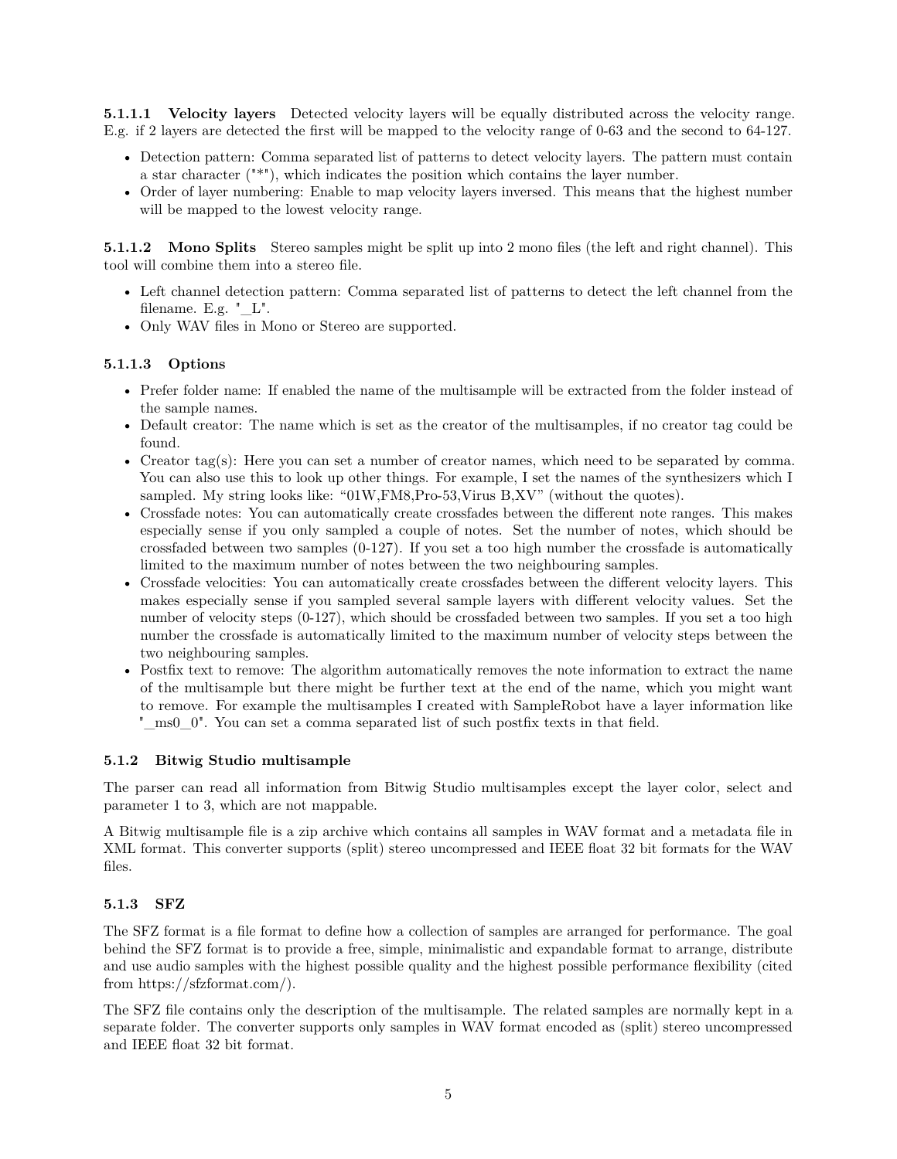**5.1.1.1 Velocity layers** Detected velocity layers will be equally distributed across the velocity range. E.g. if 2 layers are detected the first will be mapped to the velocity range of 0-63 and the second to 64-127.

- Detection pattern: Comma separated list of patterns to detect velocity layers. The pattern must contain a star character ("\*"), which indicates the position which contains the layer number.
- Order of layer numbering: Enable to map velocity layers inversed. This means that the highest number will be mapped to the lowest velocity range.

**5.1.1.2 Mono Splits** Stereo samples might be split up into 2 mono files (the left and right channel). This tool will combine them into a stereo file.

- Left channel detection pattern: Comma separated list of patterns to detect the left channel from the filename. E.g. "\_L".
- Only WAV files in Mono or Stereo are supported.

#### **5.1.1.3 Options**

- Prefer folder name: If enabled the name of the multisample will be extracted from the folder instead of the sample names.
- Default creator: The name which is set as the creator of the multisamples, if no creator tag could be found.
- Creator tag(s): Here you can set a number of creator names, which need to be separated by comma. You can also use this to look up other things. For example, I set the names of the synthesizers which I sampled. My string looks like: "01W,FM8,Pro-53,Virus B,XV" (without the quotes).
- Crossfade notes: You can automatically create crossfades between the different note ranges. This makes especially sense if you only sampled a couple of notes. Set the number of notes, which should be crossfaded between two samples (0-127). If you set a too high number the crossfade is automatically limited to the maximum number of notes between the two neighbouring samples.
- Crossfade velocities: You can automatically create crossfades between the different velocity layers. This makes especially sense if you sampled several sample layers with different velocity values. Set the number of velocity steps (0-127), which should be crossfaded between two samples. If you set a too high number the crossfade is automatically limited to the maximum number of velocity steps between the two neighbouring samples.
- Postfix text to remove: The algorithm automatically removes the note information to extract the name of the multisample but there might be further text at the end of the name, which you might want to remove. For example the multisamples I created with SampleRobot have a layer information like "\_ms0\_0". You can set a comma separated list of such postfix texts in that field.

#### <span id="page-4-0"></span>**5.1.2 Bitwig Studio multisample**

The parser can read all information from Bitwig Studio multisamples except the layer color, select and parameter 1 to 3, which are not mappable.

A Bitwig multisample file is a zip archive which contains all samples in WAV format and a metadata file in XML format. This converter supports (split) stereo uncompressed and IEEE float 32 bit formats for the WAV files.

#### <span id="page-4-1"></span>**5.1.3 SFZ**

The SFZ format is a file format to define how a collection of samples are arranged for performance. The goal behind the SFZ format is to provide a free, simple, minimalistic and expandable format to arrange, distribute and use audio samples with the highest possible quality and the highest possible performance flexibility (cited from https://sfzformat.com/).

The SFZ file contains only the description of the multisample. The related samples are normally kept in a separate folder. The converter supports only samples in WAV format encoded as (split) stereo uncompressed and IEEE float 32 bit format.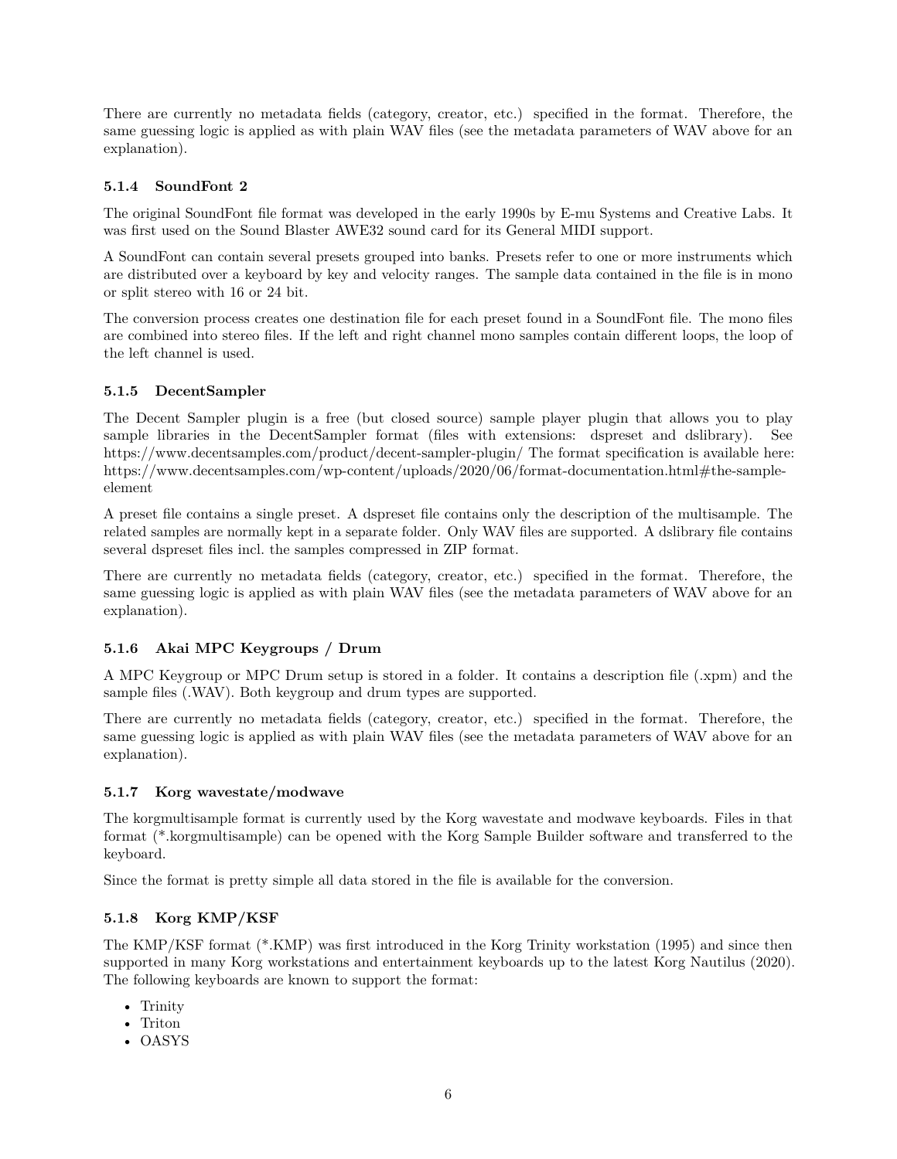There are currently no metadata fields (category, creator, etc.) specified in the format. Therefore, the same guessing logic is applied as with plain WAV files (see the metadata parameters of WAV above for an explanation).

#### <span id="page-5-0"></span>**5.1.4 SoundFont 2**

The original SoundFont file format was developed in the early 1990s by E-mu Systems and Creative Labs. It was first used on the Sound Blaster AWE32 sound card for its General MIDI support.

A SoundFont can contain several presets grouped into banks. Presets refer to one or more instruments which are distributed over a keyboard by key and velocity ranges. The sample data contained in the file is in mono or split stereo with 16 or 24 bit.

The conversion process creates one destination file for each preset found in a SoundFont file. The mono files are combined into stereo files. If the left and right channel mono samples contain different loops, the loop of the left channel is used.

### <span id="page-5-1"></span>**5.1.5 DecentSampler**

The Decent Sampler plugin is a free (but closed source) sample player plugin that allows you to play sample libraries in the DecentSampler format (files with extensions: dspreset and dslibrary). See https://www.decentsamples.com/product/decent-sampler-plugin/ The format specification is available here: https://www.decentsamples.com/wp-content/uploads/2020/06/format-documentation.html#the-sampleelement

A preset file contains a single preset. A dspreset file contains only the description of the multisample. The related samples are normally kept in a separate folder. Only WAV files are supported. A dslibrary file contains several dspreset files incl. the samples compressed in ZIP format.

There are currently no metadata fields (category, creator, etc.) specified in the format. Therefore, the same guessing logic is applied as with plain WAV files (see the metadata parameters of WAV above for an explanation).

# <span id="page-5-2"></span>**5.1.6 Akai MPC Keygroups / Drum**

A MPC Keygroup or MPC Drum setup is stored in a folder. It contains a description file (.xpm) and the sample files (.WAV). Both keygroup and drum types are supported.

There are currently no metadata fields (category, creator, etc.) specified in the format. Therefore, the same guessing logic is applied as with plain WAV files (see the metadata parameters of WAV above for an explanation).

#### <span id="page-5-3"></span>**5.1.7 Korg wavestate/modwave**

The korgmultisample format is currently used by the Korg wavestate and modwave keyboards. Files in that format (\*.korgmultisample) can be opened with the Korg Sample Builder software and transferred to the keyboard.

Since the format is pretty simple all data stored in the file is available for the conversion.

#### <span id="page-5-4"></span>**5.1.8 Korg KMP/KSF**

The KMP/KSF format (\*.KMP) was first introduced in the Korg Trinity workstation (1995) and since then supported in many Korg workstations and entertainment keyboards up to the latest Korg Nautilus (2020). The following keyboards are known to support the format:

- Trinity
- Triton
- OASYS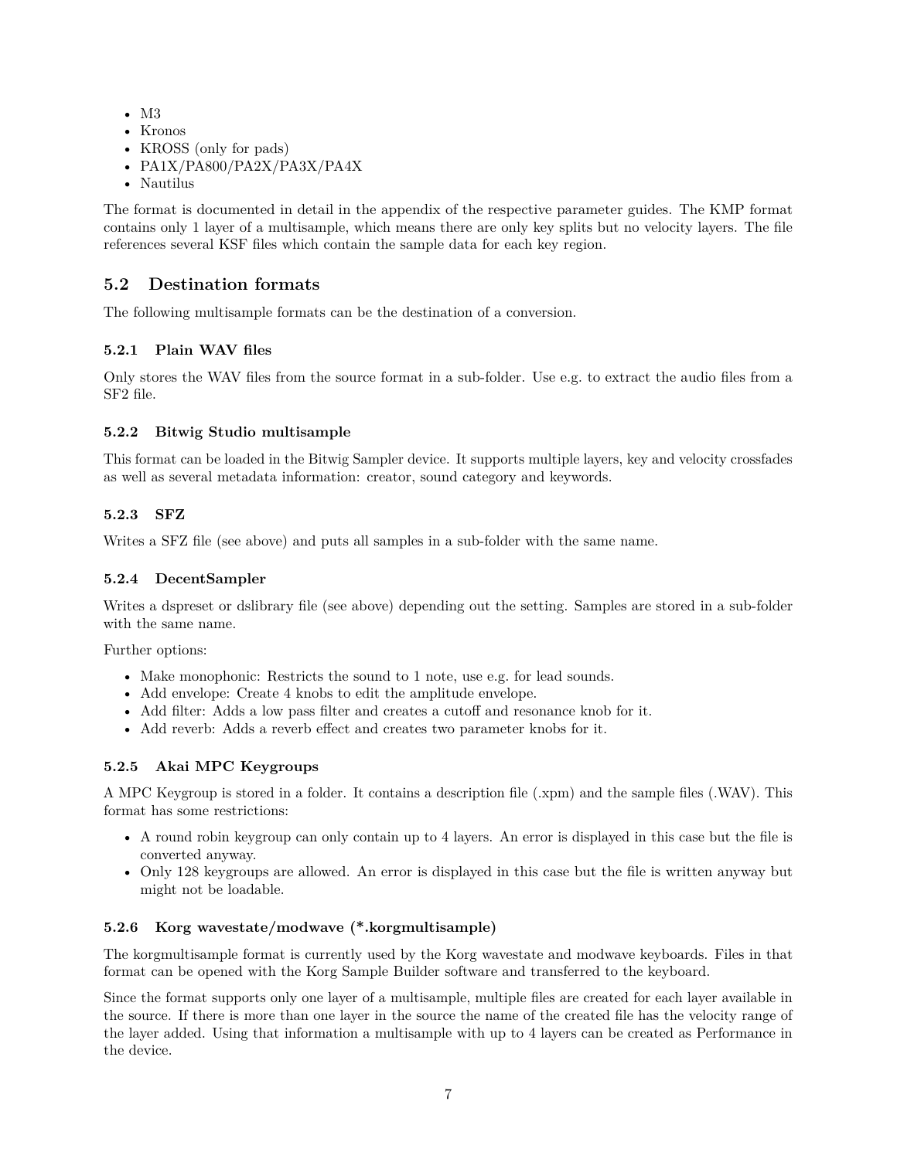- M3
- Kronos
- KROSS (only for pads)
- PA1X/PA800/PA2X/PA3X/PA4X
- Nautilus

The format is documented in detail in the appendix of the respective parameter guides. The KMP format contains only 1 layer of a multisample, which means there are only key splits but no velocity layers. The file references several KSF files which contain the sample data for each key region.

# <span id="page-6-0"></span>**5.2 Destination formats**

The following multisample formats can be the destination of a conversion.

### <span id="page-6-1"></span>**5.2.1 Plain WAV files**

Only stores the WAV files from the source format in a sub-folder. Use e.g. to extract the audio files from a SF2 file.

#### <span id="page-6-2"></span>**5.2.2 Bitwig Studio multisample**

This format can be loaded in the Bitwig Sampler device. It supports multiple layers, key and velocity crossfades as well as several metadata information: creator, sound category and keywords.

#### <span id="page-6-3"></span>**5.2.3 SFZ**

Writes a SFZ file (see above) and puts all samples in a sub-folder with the same name.

#### <span id="page-6-4"></span>**5.2.4 DecentSampler**

Writes a dspreset or dslibrary file (see above) depending out the setting. Samples are stored in a sub-folder with the same name.

Further options:

- Make monophonic: Restricts the sound to 1 note, use e.g. for lead sounds.
- Add envelope: Create 4 knobs to edit the amplitude envelope.
- Add filter: Adds a low pass filter and creates a cutoff and resonance knob for it.
- Add reverb: Adds a reverb effect and creates two parameter knobs for it.

#### <span id="page-6-5"></span>**5.2.5 Akai MPC Keygroups**

A MPC Keygroup is stored in a folder. It contains a description file (.xpm) and the sample files (.WAV). This format has some restrictions:

- A round robin keygroup can only contain up to 4 layers. An error is displayed in this case but the file is converted anyway.
- Only 128 keygroups are allowed. An error is displayed in this case but the file is written anyway but might not be loadable.

#### <span id="page-6-6"></span>**5.2.6 Korg wavestate/modwave (\*.korgmultisample)**

The korgmultisample format is currently used by the Korg wavestate and modwave keyboards. Files in that format can be opened with the Korg Sample Builder software and transferred to the keyboard.

Since the format supports only one layer of a multisample, multiple files are created for each layer available in the source. If there is more than one layer in the source the name of the created file has the velocity range of the layer added. Using that information a multisample with up to 4 layers can be created as Performance in the device.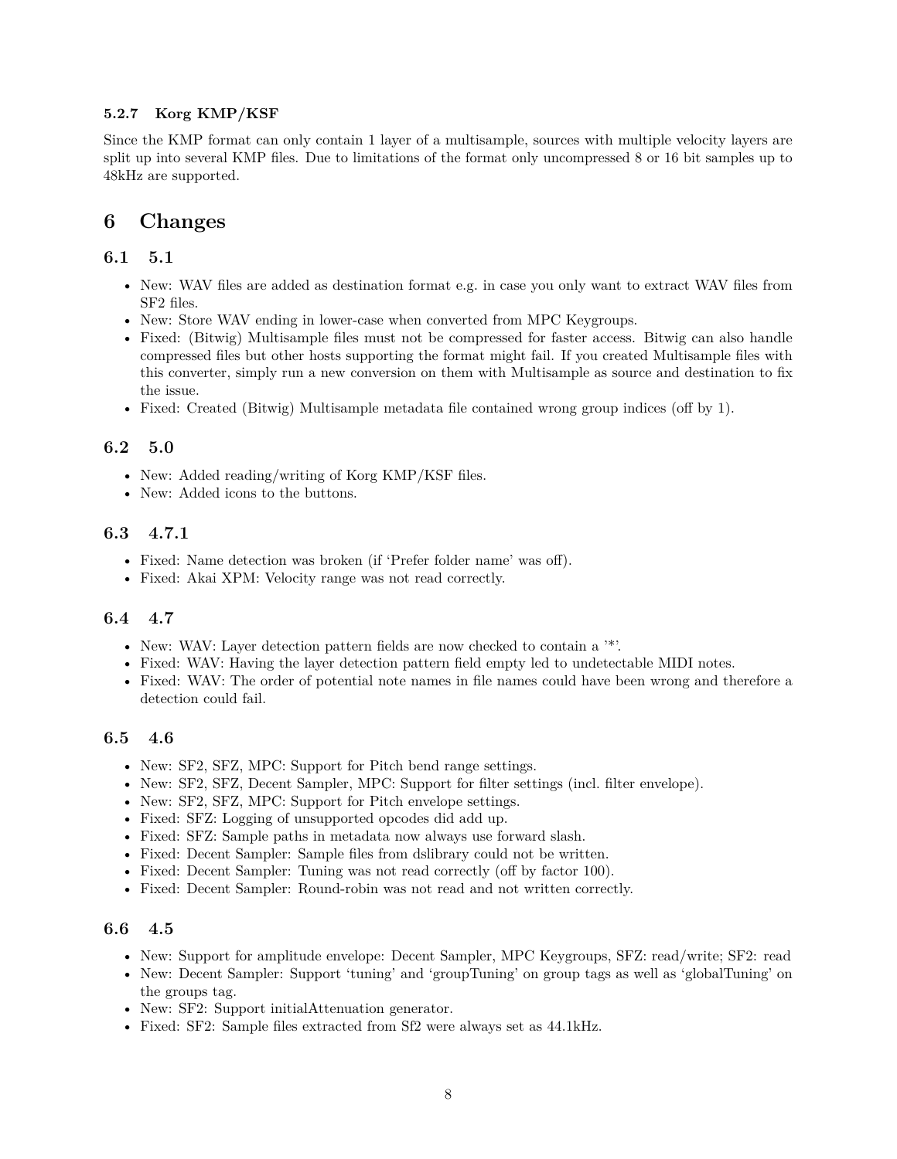### <span id="page-7-0"></span>**5.2.7 Korg KMP/KSF**

Since the KMP format can only contain 1 layer of a multisample, sources with multiple velocity layers are split up into several KMP files. Due to limitations of the format only uncompressed 8 or 16 bit samples up to 48kHz are supported.

# <span id="page-7-1"></span>**6 Changes**

### <span id="page-7-2"></span>**6.1 5.1**

- New: WAV files are added as destination format e.g. in case you only want to extract WAV files from SF2 files.
- New: Store WAV ending in lower-case when converted from MPC Keygroups.
- Fixed: (Bitwig) Multisample files must not be compressed for faster access. Bitwig can also handle compressed files but other hosts supporting the format might fail. If you created Multisample files with this converter, simply run a new conversion on them with Multisample as source and destination to fix the issue.
- Fixed: Created (Bitwig) Multisample metadata file contained wrong group indices (off by 1).

# <span id="page-7-3"></span>**6.2 5.0**

- New: Added reading/writing of Korg KMP/KSF files.
- New: Added icons to the buttons.

# <span id="page-7-4"></span>**6.3 4.7.1**

- Fixed: Name detection was broken (if 'Prefer folder name' was off).
- Fixed: Akai XPM: Velocity range was not read correctly.

# <span id="page-7-5"></span>**6.4 4.7**

- New: WAV: Layer detection pattern fields are now checked to contain a '\*'.
- Fixed: WAV: Having the layer detection pattern field empty led to undetectable MIDI notes.
- Fixed: WAV: The order of potential note names in file names could have been wrong and therefore a detection could fail.

# <span id="page-7-6"></span>**6.5 4.6**

- New: SF2, SFZ, MPC: Support for Pitch bend range settings.
- New: SF2, SFZ, Decent Sampler, MPC: Support for filter settings (incl. filter envelope).
- New: SF2, SFZ, MPC: Support for Pitch envelope settings.
- Fixed: SFZ: Logging of unsupported opcodes did add up.
- Fixed: SFZ: Sample paths in metadata now always use forward slash.
- Fixed: Decent Sampler: Sample files from dslibrary could not be written.
- Fixed: Decent Sampler: Tuning was not read correctly (off by factor 100).
- Fixed: Decent Sampler: Round-robin was not read and not written correctly.

### <span id="page-7-7"></span>**6.6 4.5**

- New: Support for amplitude envelope: Decent Sampler, MPC Keygroups, SFZ: read/write; SF2: read
- New: Decent Sampler: Support 'tuning' and 'groupTuning' on group tags as well as 'globalTuning' on the groups tag.
- New: SF2: Support initialAttenuation generator.
- Fixed: SF2: Sample files extracted from Sf2 were always set as 44.1kHz.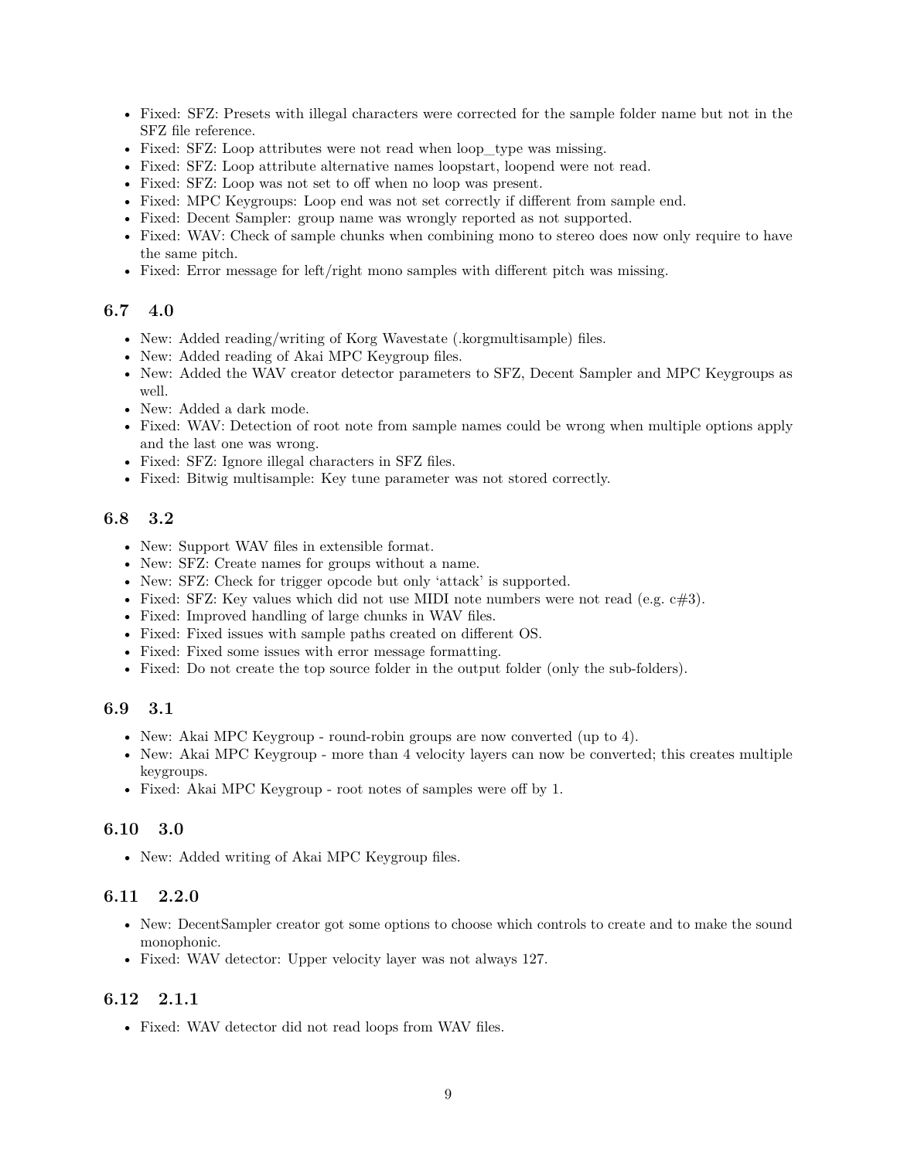- Fixed: SFZ: Presets with illegal characters were corrected for the sample folder name but not in the SFZ file reference.
- Fixed: SFZ: Loop attributes were not read when loop type was missing.
- Fixed: SFZ: Loop attribute alternative names loopstart, loopend were not read.
- Fixed: SFZ: Loop was not set to off when no loop was present.
- Fixed: MPC Keygroups: Loop end was not set correctly if different from sample end.
- Fixed: Decent Sampler: group name was wrongly reported as not supported.
- Fixed: WAV: Check of sample chunks when combining mono to stereo does now only require to have the same pitch.
- Fixed: Error message for left/right mono samples with different pitch was missing.

#### <span id="page-8-0"></span>**6.7 4.0**

- New: Added reading/writing of Korg Wavestate (.korgmultisample) files.
- New: Added reading of Akai MPC Keygroup files.
- New: Added the WAV creator detector parameters to SFZ, Decent Sampler and MPC Keygroups as well.
- New: Added a dark mode.
- Fixed: WAV: Detection of root note from sample names could be wrong when multiple options apply and the last one was wrong.
- Fixed: SFZ: Ignore illegal characters in SFZ files.
- Fixed: Bitwig multisample: Key tune parameter was not stored correctly.

# <span id="page-8-1"></span>**6.8 3.2**

- New: Support WAV files in extensible format.
- New: SFZ: Create names for groups without a name.
- New: SFZ: Check for trigger opcode but only 'attack' is supported.
- Fixed: SFZ: Key values which did not use MIDI note numbers were not read (e.g.  $c \neq 3$ ).
- Fixed: Improved handling of large chunks in WAV files.
- Fixed: Fixed issues with sample paths created on different OS.
- Fixed: Fixed some issues with error message formatting.
- Fixed: Do not create the top source folder in the output folder (only the sub-folders).

### <span id="page-8-2"></span>**6.9 3.1**

- New: Akai MPC Keygroup round-robin groups are now converted (up to 4).
- New: Akai MPC Keygroup more than 4 velocity layers can now be converted; this creates multiple keygroups.
- Fixed: Akai MPC Keygroup root notes of samples were off by 1.

#### <span id="page-8-3"></span>**6.10 3.0**

• New: Added writing of Akai MPC Keygroup files.

#### <span id="page-8-4"></span>**6.11 2.2.0**

- New: DecentSampler creator got some options to choose which controls to create and to make the sound monophonic.
- Fixed: WAV detector: Upper velocity layer was not always 127.

# <span id="page-8-5"></span>**6.12 2.1.1**

• Fixed: WAV detector did not read loops from WAV files.